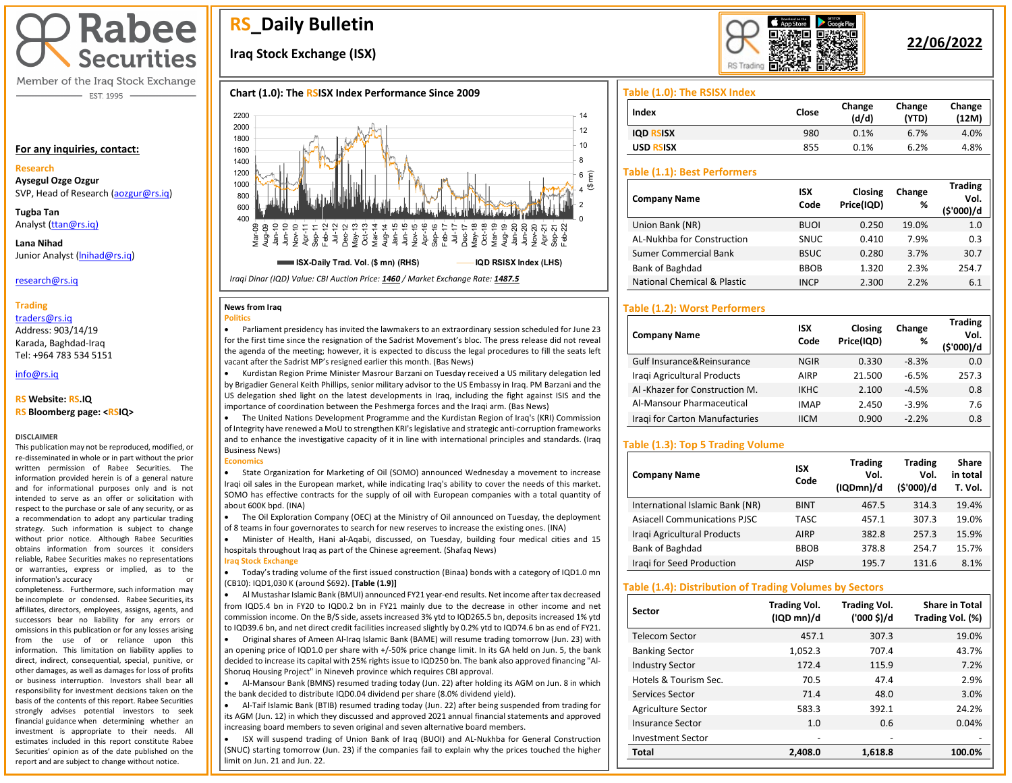# **Rabee Securities**

Member of the Iraq Stock Exchange - EST. 1995

#### **For any inquiries, contact:**

#### **Research**

**Aysegul Ozge Ozgur**  SVP, Head of Research [\(aozgur@rs.iq\)](mailto:aozgur@rs.iq)

**Tugba Tan** Analyst [\(ttan@rs.iq\)](mailto:ttan@rs.iq)

**Lana Nihad** Junior Analyst [\(lnihad@rs.iq\)](mailto:lnihad@rs.iq)

#### research@rs.iq

#### **Trading**

traders@rs.iq Address: 903/14/19 Karada, Baghdad-Iraq Tel: +964 783 534 5151

# info@rs.iq

#### **RS Website: RS.IQ**

#### **RS Bloomberg page: <RSIQ>**

#### **DISCLAIMER**

This publication may not be reproduced, modified, or re-disseminated in whole or in part without the prior written permission of Rabee Securities. The information provided herein is of a general nature and for informational purposes only and is not intended to serve as an offer or solicitation with respect to the purchase or sale of any security, or as a recommendation to adopt any particular trading strategy. Such information is subject to change without prior notice. Although Rabee Securities obtains information from sources it considers reliable, Rabee Securities makes no representations or warranties, express or implied, as to the information's accuracy or

completeness. Furthermore, such information may be incomplete or condensed. Rabee Securities, its affiliates, directors, employees, assigns, agents, and successors bear no liability for any errors or omissions in this publication or for any losses arising from the use of or reliance upon this information. This limitation on liability applies to direct, indirect, consequential, special, punitive, or other damages, as well as damages for loss of profits or business interruption. Investors shall bear all responsibility for investment decisions taken on the basis of the contents of this report. Rabee Securities strongly advises potential investors to seek financial guidance when determining whether an investment is appropriate to their needs. All estimates included in this report constitute Rabee Securities' opinion as of the date published on the report and are subject to change without notice.

# **RS\_Daily Bulletin**

# **Iraq Stock Exchange (ISX)**

### **Chart (1.0): The RSISX Index Performance Since 2009**



#### **News from Iraq Politics**

• Parliament presidency has invited the lawmakers to an extraordinary session scheduled for June 23 for the first time since the resignation of the Sadrist Movement's bloc. The press release did not reveal the agenda of the meeting; however, it is expected to discuss the legal procedures to fill the seats left vacant after the Sadrist MP's resigned earlier this month. (Bas News)

• Kurdistan Region Prime Minister Masrour Barzani on Tuesday received a US military delegation led by Brigadier General Keith Phillips, senior military advisor to the US Embassy in Iraq. PM Barzani and the US delegation shed light on the latest developments in Iraq, including the fight against ISIS and the importance of coordination between the Peshmerga forces and the Iraqi arm. (Bas News)

• The United Nations Development Programme and the Kurdistan Region of Iraq's (KRI) Commission of Integrity have renewed a MoU to strengthen KRI's legislative and strategic anti-corruption frameworks and to enhance the investigative capacity of it in line with international principles and standards. (Iraq Business News) **Economics**

• State Organization for Marketing of Oil (SOMO) announced Wednesday a movement to increase Iraqi oil sales in the European market, while indicating Iraq's ability to cover the needs of this market. SOMO has effective contracts for the supply of oil with European companies with a total quantity of about 600K bpd. (INA)

• The Oil Exploration Company (OEC) at the Ministry of Oil announced on Tuesday, the deployment of 8 teams in four governorates to search for new reserves to increase the existing ones. (INA)

• Minister of Health, Hani al-Aqabi, discussed, on Tuesday, building four medical cities and 15 hospitals throughout Iraq as part of the Chinese agreement. (Shafaq News) **Iraq Stock Exchange**

- 
- Today's trading volume of the first issued construction (Binaa) bonds with a category of IQD1.0 mn (CB10): IQD1,030 K (around \$692). **[Table (1.9)]**
- to IQD39.6 bn, and net direct credit facilities increased slightly by 0.2% ytd to IQD74.6 bn as end of FY21. • Al Mustashar Islamic Bank (BMUI) announced FY21 year-end results. Net income after tax decreased from IQD5.4 bn in FY20 to IQD0.2 bn in FY21 mainly due to the decrease in other income and net commission income. On the B/S side, assets increased 3% ytd to IQD265.5 bn, deposits increased 1% ytd

• Original shares of Ameen Al-Iraq Islamic Bank (BAME) will resume trading tomorrow (Jun. 23) with an opening price of IQD1.0 per share with +/-50% price change limit. In its GA held on Jun. 5, the bank decided to increase its capital with 25% rights issue to IQD250 bn. The bank also approved financing "Al-Shoruq Housing Project" in Nineveh province which requires CBI approval.

• Al-Mansour Bank (BMNS) resumed trading today (Jun. 22) after holding its AGM on Jun. 8 in which the bank decided to distribute IQD0.04 dividend per share (8.0% dividend yield).

• Al-Taif Islamic Bank (BTIB) resumed trading today (Jun. 22) after being suspended from trading for its AGM (Jun. 12) in which they discussed and approved 2021 annual financial statements and approved increasing board members to seven original and seven alternative board members.

• ISX will suspend trading of Union Bank of Iraq (BUOI) and AL-Nukhba for General Construction (SNUC) starting tomorrow (Jun. 23) if the companies fail to explain why the prices touched the higher limit on Jun. 21 and Jun. 22.



# **22/06/2022**

**Trading** 

#### **Table (1.0): The RSISX Index**

| Index               | Close | Change<br>(d/d) | Change<br>(YTD) | Change<br>(12M) |
|---------------------|-------|-----------------|-----------------|-----------------|
| <b>IOD RSISX</b>    | 980   | 0.1%            | 6.7%            | 4.0%            |
| <b>USD</b><br>रऽ।ऽx | 855   | 0.1%            | 6.2%            | 4.8%            |

#### **Table (1.1): Best Performers**

| <b>Company Name</b>                    | <b>ISX</b><br>Code | Closing<br>Price(IQD) | Change<br>% | <b>Trading</b><br>Vol.<br>(\$'000)/d |
|----------------------------------------|--------------------|-----------------------|-------------|--------------------------------------|
| Union Bank (NR)                        | <b>BUOI</b>        | 0.250                 | 19.0%       | 1.0                                  |
| AL-Nukhba for Construction             | <b>SNUC</b>        | 0.410                 | 7.9%        | 0.3                                  |
| <b>Sumer Commercial Bank</b>           | <b>BSUC</b>        | 0.280                 | 3.7%        | 30.7                                 |
| Bank of Baghdad                        | <b>BBOB</b>        | 1.320                 | 2.3%        | 254.7                                |
| <b>National Chemical &amp; Plastic</b> | <b>INCP</b>        | 2.300                 | 2.2%        | 6.1                                  |

## **Table (1.2): Worst Performers**

| <b>Company Name</b>            | <b>ISX</b><br>Code | Closing<br>Price(IQD) | Change<br>% | 1190118<br>Vol.<br>(\$'000)/d |
|--------------------------------|--------------------|-----------------------|-------------|-------------------------------|
| Gulf Insurance&Reinsurance     | <b>NGIR</b>        | 0.330                 | $-8.3%$     | 0.0                           |
| Iraqi Agricultural Products    | AIRP               | 21.500                | $-6.5%$     | 257.3                         |
| Al-Khazer for Construction M.  | <b>IKHC</b>        | 2.100                 | $-4.5%$     | 0.8                           |
| Al-Mansour Pharmaceutical      | <b>IMAP</b>        | 2.450                 | $-3.9%$     | 7.6                           |
| Iragi for Carton Manufacturies | <b>IICM</b>        | 0.900                 | $-2.2%$     | 0.8                           |

## **Table (1.3): Top 5 Trading Volume**

| <b>Company Name</b>                 | <b>ISX</b><br>Code | <b>Trading</b><br>Vol.<br>(IQDmn)/d | <b>Trading</b><br>Vol.<br>(\$'000)/d | Share<br>in total<br>T. Vol. |
|-------------------------------------|--------------------|-------------------------------------|--------------------------------------|------------------------------|
| International Islamic Bank (NR)     | <b>BINT</b>        | 467.5                               | 314.3                                | 19.4%                        |
| <b>Asiacell Communications PJSC</b> | <b>TASC</b>        | 457.1                               | 307.3                                | 19.0%                        |
| Iragi Agricultural Products         | AIRP               | 382.8                               | 257.3                                | 15.9%                        |
| Bank of Baghdad                     | <b>BBOB</b>        | 378.8                               | 254.7                                | 15.7%                        |
| Iragi for Seed Production           | <b>AISP</b>        | 195.7                               | 131.6                                | 8.1%                         |

#### **Table (1.4): Distribution of Trading Volumes by Sectors**

| Sector                   | <b>Trading Vol.</b><br>(IQD mn)/d | <b>Trading Vol.</b><br>('000 \$)/d | <b>Share in Total</b><br>Trading Vol. (%) |
|--------------------------|-----------------------------------|------------------------------------|-------------------------------------------|
| Telecom Sector           | 457.1                             | 307.3                              | 19.0%                                     |
| <b>Banking Sector</b>    | 1,052.3                           | 707.4                              | 43.7%                                     |
| <b>Industry Sector</b>   | 172.4                             | 115.9                              | 7.2%                                      |
| Hotels & Tourism Sec.    | 70.5                              | 47.4                               | 2.9%                                      |
| Services Sector          | 71.4                              | 48.0                               | 3.0%                                      |
| Agriculture Sector       | 583.3                             | 392.1                              | 24.2%                                     |
| Insurance Sector         | 1.0                               | 0.6                                | 0.04%                                     |
| <b>Investment Sector</b> | -                                 |                                    |                                           |
| <b>Total</b>             | 2.408.0                           | 1,618.8                            | 100.0%                                    |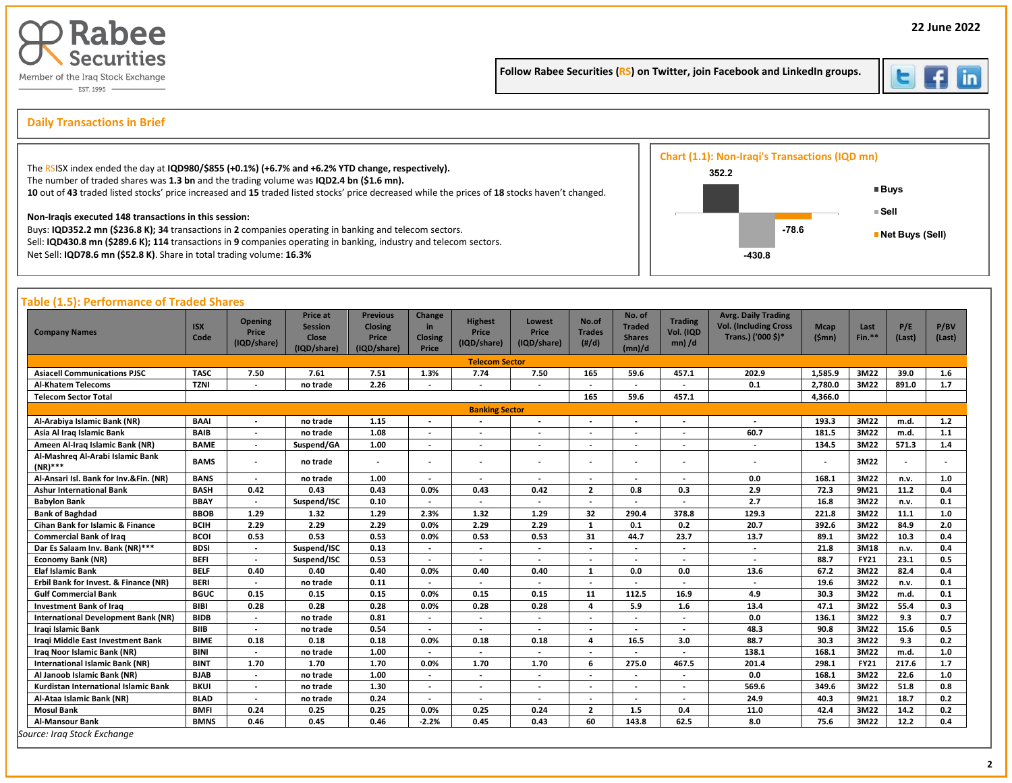

Follow Rabee Securities (RS) on Twitter, join Facebook and LinkedIn groups.



İ

# s **Daily Transactions in Brief**

| The RSISX index ended the day at IQD980/\$855 (+0.1%) (+6.7% and +6.2% YTD change, respectively).                                                                                                                                                                                      | Chart (1.1): Non-Iraqi's Transactions (IQD mn)<br>352.2 |         |                           |
|----------------------------------------------------------------------------------------------------------------------------------------------------------------------------------------------------------------------------------------------------------------------------------------|---------------------------------------------------------|---------|---------------------------|
| The number of traded shares was 1.3 bn and the trading volume was IQD2.4 bn (\$1.6 mn).<br>10 out of 43 traded listed stocks' price increased and 15 traded listed stocks' price decreased while the prices of 18 stocks haven't changed.                                              |                                                         |         | <b>■Buys</b>              |
| Non-Iragis executed 148 transactions in this session:<br>Buys: IQD352.2 mn (\$236.8 K); 34 transactions in 2 companies operating in banking and telecom sectors.<br>Sell: IQD430.8 mn (\$289.6 K); 114 transactions in 9 companies operating in banking, industry and telecom sectors. |                                                         | $-78.6$ | ≡ Sell<br>Net Buys (Sell) |
| Net Sell: IQD78.6 mn (\$52.8 K). Share in total trading volume: 16.3%                                                                                                                                                                                                                  | -430.8                                                  |         |                           |

# **Table (1.5): Performance of Traded Shares**

| <b>Company Names</b>                           | <b>ISX</b><br>Code | <b>Opening</b><br>Price<br>(IQD/share) | <b>Price at</b><br><b>Session</b><br><b>Close</b><br>(IQD/share) | <b>Previous</b><br>Closing<br>Price<br>(IQD/share) | Change<br>in<br><b>Closing</b><br>Price | <b>Highest</b><br>Price<br>(IQD/share) | Lowest<br>Price<br>(IQD/share) | No.of<br><b>Trades</b><br>(H/d) | No. of<br><b>Traded</b><br><b>Shares</b><br>(mn)/d | <b>Trading</b><br>Vol. (IQD<br>$mn)$ /d | <b>Avrg. Daily Trading</b><br><b>Vol. (Including Cross</b><br>Trans.) ('000 \$)* | <b>Mcap</b><br>(Smn)     | Last<br>Fin.** | P/E<br>(Last) | P/BV<br>(Last) |
|------------------------------------------------|--------------------|----------------------------------------|------------------------------------------------------------------|----------------------------------------------------|-----------------------------------------|----------------------------------------|--------------------------------|---------------------------------|----------------------------------------------------|-----------------------------------------|----------------------------------------------------------------------------------|--------------------------|----------------|---------------|----------------|
|                                                |                    |                                        |                                                                  |                                                    |                                         | <b>Telecom Sector</b>                  |                                |                                 |                                                    |                                         |                                                                                  |                          |                |               |                |
| <b>Asiacell Communications PJSC</b>            | <b>TASC</b>        | 7.50                                   | 7.61                                                             | 7.51                                               | 1.3%                                    | 7.74                                   | 7.50                           | 165                             | 59.6                                               | 457.1                                   | 202.9                                                                            | 1,585.9                  | 3M22           | 39.0          | 1.6            |
| <b>Al-Khatem Telecoms</b>                      | <b>TZNI</b>        |                                        | no trade                                                         | 2.26                                               |                                         |                                        |                                |                                 |                                                    |                                         | 0.1                                                                              | 2,780.0                  | 3M22           | 891.0         | 1.7            |
| <b>Telecom Sector Total</b>                    |                    |                                        |                                                                  |                                                    |                                         |                                        |                                | 165                             | 59.6                                               | 457.1                                   |                                                                                  | 4,366.0                  |                |               |                |
|                                                |                    |                                        |                                                                  |                                                    |                                         | <b>Banking Sector</b>                  |                                |                                 |                                                    |                                         |                                                                                  |                          |                |               |                |
| Al-Arabiya Islamic Bank (NR)                   | <b>BAAI</b>        | $\blacksquare$                         | no trade                                                         | 1.15                                               | $\overline{\phantom{a}}$                |                                        | $\overline{\phantom{a}}$       | $\overline{\phantom{a}}$        | $\overline{\phantom{a}}$                           | $\sim$                                  | $\overline{\phantom{a}}$                                                         | 193.3                    | 3M22           | m.d.          | $1.2$          |
| Asia Al Iraq Islamic Bank                      | <b>BAIB</b>        |                                        | no trade                                                         | 1.08                                               |                                         |                                        |                                |                                 |                                                    |                                         | 60.7                                                                             | 181.5                    | 3M22           | m.d.          | 1.1            |
| Ameen Al-Iraq Islamic Bank (NR)                | <b>BAME</b>        | $\overline{\phantom{a}}$               | Suspend/GA                                                       | 1.00                                               | $\overline{\phantom{a}}$                |                                        |                                |                                 |                                                    | $\overline{\phantom{a}}$                | $\overline{\phantom{a}}$                                                         | 134.5                    | 3M22           | 571.3         | 1.4            |
| Al-Mashreg Al-Arabi Islamic Bank<br>$(NR)$ *** | <b>BAMS</b>        | $\blacksquare$                         | no trade                                                         |                                                    |                                         |                                        |                                |                                 | $\blacksquare$                                     |                                         | $\overline{\phantom{a}}$                                                         | $\overline{\phantom{0}}$ | 3M22           |               |                |
| Al-Ansari Isl. Bank for Inv.&Fin. (NR)         | <b>BANS</b>        | $\overline{\phantom{a}}$               | no trade                                                         | 1.00                                               | $\sim$                                  |                                        | $\overline{\phantom{a}}$       |                                 | $\overline{a}$                                     |                                         | 0.0                                                                              | 168.1                    | 3M22           | n.v.          | 1.0            |
| <b>Ashur International Bank</b>                | <b>BASH</b>        | 0.42                                   | 0.43                                                             | 0.43                                               | 0.0%                                    | 0.43                                   | 0.42                           | $\overline{2}$                  | 0.8                                                | 0.3                                     | 2.9                                                                              | 72.3                     | 9M21           | 11.2          | 0.4            |
| <b>Babylon Bank</b>                            | <b>BBAY</b>        | $\overline{\phantom{a}}$               | Suspend/ISC                                                      | 0.10                                               |                                         |                                        |                                |                                 | $\overline{\phantom{a}}$                           |                                         | 2.7                                                                              | 16.8                     | 3M22           | n.v.          | 0.1            |
| <b>Bank of Baghdad</b>                         | <b>BBOB</b>        | 1.29                                   | 1.32                                                             | 1.29                                               | 2.3%                                    | 1.32                                   | 1.29                           | 32                              | 290.4                                              | 378.8                                   | 129.3                                                                            | 221.8                    | 3M22           | 11.1          | 1.0            |
| <b>Cihan Bank for Islamic &amp; Finance</b>    | <b>BCIH</b>        | 2.29                                   | 2.29                                                             | 2.29                                               | 0.0%                                    | 2.29                                   | 2.29                           | 1                               | 0.1                                                | 0.2                                     | 20.7                                                                             | 392.6                    | 3M22           | 84.9          | 2.0            |
| <b>Commercial Bank of Iraq</b>                 | <b>BCOI</b>        | 0.53                                   | 0.53                                                             | 0.53                                               | 0.0%                                    | 0.53                                   | 0.53                           | 31                              | 44.7                                               | 23.7                                    | 13.7                                                                             | 89.1                     | 3M22           | 10.3          | 0.4            |
| Dar Es Salaam Inv. Bank (NR)***                | <b>BDSI</b>        | $\overline{\phantom{a}}$               | Suspend/ISC                                                      | 0.13                                               |                                         |                                        | $\overline{\phantom{a}}$       |                                 | $\overline{\phantom{a}}$                           | $\overline{\phantom{a}}$                | $\sim$                                                                           | 21.8                     | 3M18           | n.v.          | 0.4            |
| <b>Economy Bank (NR)</b>                       | <b>BEFI</b>        | $\overline{\phantom{a}}$               | Suspend/ISC                                                      | 0.53                                               |                                         |                                        |                                |                                 | $\blacksquare$                                     |                                         | $\overline{\phantom{a}}$                                                         | 88.7                     | <b>FY21</b>    | 23.1          | 0.5            |
| <b>Elaf Islamic Bank</b>                       | <b>BELF</b>        | 0.40                                   | 0.40                                                             | 0.40                                               | 0.0%                                    | 0.40                                   | 0.40                           | 1                               | 0.0                                                | 0.0                                     | 13.6                                                                             | 67.2                     | 3M22           | 82.4          | 0.4            |
| Erbil Bank for Invest. & Finance (NR)          | <b>BERI</b>        | $\overline{\phantom{a}}$               | no trade                                                         | 0.11                                               |                                         |                                        | $\overline{\phantom{a}}$       | $\overline{\phantom{a}}$        | $\overline{a}$                                     | $\overline{a}$                          | $\overline{\phantom{a}}$                                                         | 19.6                     | 3M22           | n.v.          | 0.1            |
| <b>Gulf Commercial Bank</b>                    | <b>BGUC</b>        | 0.15                                   | 0.15                                                             | 0.15                                               | 0.0%                                    | 0.15                                   | 0.15                           | 11                              | 112.5                                              | 16.9                                    | 4.9                                                                              | 30.3                     | 3M22           | m.d.          | 0.1            |
| <b>Investment Bank of Iraq</b>                 | <b>BIBI</b>        | 0.28                                   | 0.28                                                             | 0.28                                               | 0.0%                                    | 0.28                                   | 0.28                           | $\overline{a}$                  | 5.9                                                | 1.6                                     | 13.4                                                                             | 47.1                     | 3M22           | 55.4          | 0.3            |
| <b>International Development Bank (NR)</b>     | <b>BIDB</b>        | $\overline{\phantom{a}}$               | no trade                                                         | 0.81                                               |                                         |                                        |                                |                                 | $\blacksquare$                                     | $\overline{a}$                          | 0.0                                                                              | 136.1                    | 3M22           | 9.3           | 0.7            |
| Iraqi Islamic Bank                             | <b>BIIB</b>        | $\overline{\phantom{a}}$               | no trade                                                         | 0.54                                               |                                         |                                        |                                |                                 |                                                    |                                         | 48.3                                                                             | 90.8                     | 3M22           | 15.6          | 0.5            |
| Iraqi Middle East Investment Bank              | <b>BIME</b>        | 0.18                                   | 0.18                                                             | 0.18                                               | 0.0%                                    | 0.18                                   | 0.18                           | 4                               | 16.5                                               | 3.0                                     | 88.7                                                                             | 30.3                     | 3M22           | 9.3           | 0.2            |
| Iraq Noor Islamic Bank (NR)                    | <b>BINI</b>        | $\overline{\phantom{a}}$               | no trade                                                         | 1.00                                               |                                         |                                        |                                |                                 |                                                    |                                         | 138.1                                                                            | 168.1                    | 3M22           | m.d.          | 1.0            |
| <b>International Islamic Bank (NR)</b>         | <b>BINT</b>        | 1.70                                   | 1.70                                                             | 1.70                                               | 0.0%                                    | 1.70                                   | 1.70                           | 6                               | 275.0                                              | 467.5                                   | 201.4                                                                            | 298.1                    | <b>FY21</b>    | 217.6         | 1.7            |
| Al Janoob Islamic Bank (NR)                    | <b>BJAB</b>        | $\overline{\phantom{a}}$               | no trade                                                         | 1.00                                               |                                         |                                        | $\overline{\phantom{a}}$       |                                 | $\overline{\phantom{a}}$                           | $\overline{\phantom{a}}$                | 0.0                                                                              | 168.1                    | 3M22           | 22.6          | $1.0$          |
| Kurdistan International Islamic Bank           | <b>BKUI</b>        | $\overline{\phantom{a}}$               | no trade                                                         | 1.30                                               | $\overline{\phantom{a}}$                |                                        | $\overline{\phantom{a}}$       |                                 | $\overline{\phantom{a}}$                           | $\overline{\phantom{a}}$                | 569.6                                                                            | 349.6                    | 3M22           | 51.8          | 0.8            |
| Al-Ataa Islamic Bank (NR)                      | <b>BLAD</b>        | $\overline{\phantom{a}}$               | no trade                                                         | 0.24                                               |                                         |                                        |                                |                                 |                                                    |                                         | 24.9                                                                             | 40.3                     | 9M21           | 18.7          | 0.2            |
| <b>Mosul Bank</b>                              | <b>BMFI</b>        | 0.24                                   | 0.25                                                             | 0.25                                               | 0.0%                                    | 0.25                                   | 0.24                           | $\overline{2}$                  | 1.5                                                | 0.4                                     | 11.0                                                                             | 42.4                     | 3M22           | 14.2          | 0.2            |
| <b>Al-Mansour Bank</b>                         | <b>BMNS</b>        | 0.46                                   | 0.45                                                             | 0.46                                               | $-2.2%$                                 | 0.45                                   | 0.43                           | 60                              | 143.8                                              | 62.5                                    | 8.0                                                                              | 75.6                     | 3M22           | 12.2          | 0.4            |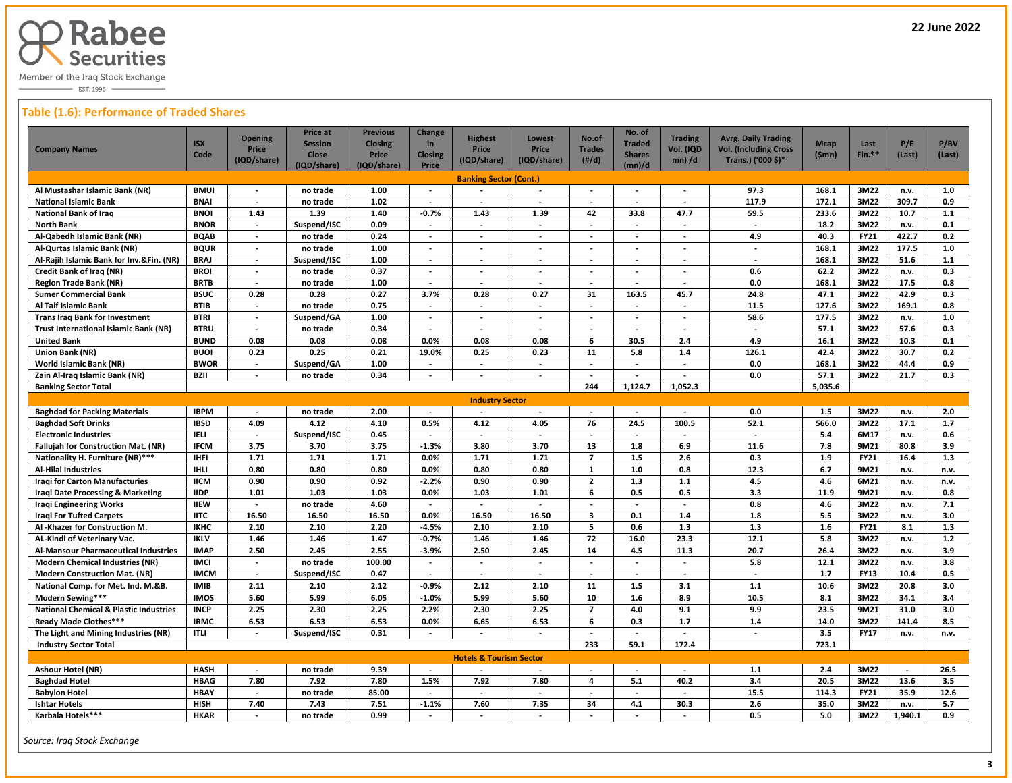

EST. 1995 -

# **Table (1.6): Performance of Traded Shares**

| <b>Company Names</b>                                                  | <b>ISX</b><br>Code         | <b>Opening</b><br><b>Price</b><br>(IQD/share) | <b>Price at</b><br><b>Session</b><br><b>Close</b><br>(IQD/share) | <b>Previous</b><br><b>Closing</b><br>Price<br>(IQD/share) | Change<br>in<br><b>Closing</b><br>Price | <b>Highest</b><br>Price<br>(IQD/share)     | Lowest<br><b>Price</b><br>(IQD/share) | No.of<br><b>Trades</b><br>$(\#/d)$ | No. of<br><b>Traded</b><br><b>Shares</b><br>(mn)/d | <b>Trading</b><br>Vol. (IQD<br>$mn)$ /d              | <b>Avrg. Daily Trading</b><br><b>Vol. (Including Cross</b><br>Trans.) ('000 \$)* | <b>Mcap</b><br>(Smn) | Last<br>Fin.**      | P/E<br>(Last) | P/BV<br>(Last) |
|-----------------------------------------------------------------------|----------------------------|-----------------------------------------------|------------------------------------------------------------------|-----------------------------------------------------------|-----------------------------------------|--------------------------------------------|---------------------------------------|------------------------------------|----------------------------------------------------|------------------------------------------------------|----------------------------------------------------------------------------------|----------------------|---------------------|---------------|----------------|
|                                                                       |                            |                                               |                                                                  |                                                           |                                         | <b>Banking Sector (Cont.)</b>              |                                       |                                    |                                                    |                                                      |                                                                                  |                      |                     |               |                |
| Al Mustashar Islamic Bank (NR)                                        | <b>BMUI</b>                | $\blacksquare$                                | no trade                                                         | 1.00                                                      | $\sim$                                  |                                            |                                       | $\overline{\phantom{a}}$           | $\blacksquare$                                     |                                                      | 97.3                                                                             | 168.1                | 3M22                | n.v.          | 1.0            |
| <b>National Islamic Bank</b>                                          | <b>BNAI</b>                | $\overline{a}$                                | no trade                                                         | 1.02                                                      | $\overline{\phantom{a}}$                | $\overline{a}$                             | $\overline{a}$                        | $\sim$                             | $\sim$                                             | $\overline{a}$                                       | 117.9                                                                            | 172.1                | 3M22                | 309.7         | 0.9            |
| <b>National Bank of Iraq</b>                                          | <b>BNOI</b>                | 1.43                                          | 1.39                                                             | 1.40                                                      | $-0.7%$                                 | 1.43                                       | 1.39                                  | 42                                 | 33.8                                               | 47.7                                                 | 59.5                                                                             | 233.6                | 3M22                | 10.7          | $1.1$          |
| <b>North Bank</b>                                                     | <b>BNOR</b>                | $\overline{\phantom{a}}$                      | Suspend/ISC                                                      | 0.09                                                      | $\blacksquare$                          | $\blacksquare$                             | $\overline{\phantom{a}}$              | $\blacksquare$                     | $\blacksquare$                                     | $\overline{\phantom{a}}$                             | $\overline{\phantom{a}}$                                                         | 18.2                 | 3M22                | n.v.          | 0.1            |
| Al-Qabedh Islamic Bank (NR)                                           | <b>BQAB</b>                | $\overline{\phantom{a}}$                      | no trade                                                         | 0.24                                                      | $\overline{\phantom{a}}$                | $\overline{\phantom{a}}$                   | $\overline{\phantom{a}}$              | $\overline{\phantom{a}}$           | $\blacksquare$                                     | $\overline{\phantom{a}}$                             | 4.9                                                                              | 40.3                 | <b>FY21</b>         | 422.7         | 0.2            |
| Al-Qurtas Islamic Bank (NR)                                           | <b>BQUR</b>                | $\blacksquare$                                | no trade                                                         | 1.00                                                      | $\overline{\phantom{a}}$                | $\overline{\phantom{a}}$                   | $\overline{\phantom{a}}$              | $\overline{\phantom{a}}$           | $\overline{\phantom{a}}$                           | $\overline{\phantom{a}}$                             | $\overline{\phantom{a}}$                                                         | 168.1                | 3M22                | 177.5         | $1.0\,$        |
| Al-Rajih Islamic Bank for Inv.&Fin. (NR)                              | <b>BRAJ</b>                | $\overline{\phantom{a}}$                      | Suspend/ISC                                                      | 1.00                                                      | $\sim$                                  | $\sim$                                     | $\overline{\phantom{a}}$              | $\sim$                             | $\overline{\phantom{a}}$                           | $\overline{\phantom{a}}$                             | $\sim$                                                                           | 168.1                | 3M22                | 51.6          | $1.1$          |
| Credit Bank of Iraq (NR)                                              | <b>BROI</b>                | $\blacksquare$                                | no trade                                                         | 0.37                                                      | $\sim$                                  | $\overline{\phantom{a}}$                   | $\overline{\phantom{a}}$              | $\blacksquare$                     | $\blacksquare$                                     | $\overline{\phantom{a}}$                             | 0.6                                                                              | 62.2                 | 3M22                | n.v.          | 0.3            |
| <b>Region Trade Bank (NR)</b>                                         | <b>BRTB</b>                |                                               | no trade                                                         | 1.00                                                      |                                         |                                            |                                       |                                    |                                                    |                                                      | 0.0                                                                              | 168.1                | 3M22                | 17.5          | 0.8            |
| <b>Sumer Commercial Bank</b>                                          | <b>BSUC</b>                | 0.28                                          | 0.28                                                             | 0.27                                                      | 3.7%                                    | 0.28                                       | 0.27                                  | 31                                 | 163.5                                              | 45.7                                                 | 24.8                                                                             | 47.1                 | 3M22                | 42.9          | 0.3            |
| Al Taif Islamic Bank                                                  | <b>BTIB</b>                | $\overline{a}$                                | no trade                                                         | 0.75                                                      | $\overline{\phantom{a}}$                | $\overline{a}$                             | $\sim$                                | $\overline{a}$                     | $\blacksquare$                                     | $\blacksquare$                                       | 11.5                                                                             | $\overline{127.6}$   | 3M22                | 169.1         | 0.8            |
| <b>Trans Iraq Bank for Investment</b>                                 | <b>BTRI</b>                | $\overline{\phantom{a}}$                      | Suspend/GA                                                       | 1.00                                                      | $\sim$                                  | $\blacksquare$                             | $\overline{\phantom{a}}$              | $\sim$                             | $\overline{\phantom{a}}$                           | $\blacksquare$                                       | 58.6                                                                             | 177.5                | 3M22                | n.v.          | 1.0            |
| <b>Trust International Islamic Bank (NR)</b>                          | <b>BTRU</b>                | $\overline{\phantom{a}}$                      | no trade                                                         | 0.34                                                      | $\overline{\phantom{a}}$                | $\overline{\phantom{a}}$                   | $\overline{\phantom{a}}$              | $\overline{\phantom{a}}$           | $\overline{\phantom{a}}$                           | $\overline{\phantom{a}}$                             | $\sim$                                                                           | 57.1                 | 3M22                | 57.6          | 0.3            |
| <b>United Bank</b>                                                    | <b>BUND</b>                | 0.08                                          | 0.08                                                             | 0.08                                                      | 0.0%                                    | 0.08                                       | 0.08                                  | 6                                  | 30.5                                               | 2.4                                                  | 4.9                                                                              | 16.1                 | 3M22                | 10.3          | 0.1            |
| <b>Union Bank (NR)</b>                                                | <b>BUOI</b>                | 0.23                                          | 0.25                                                             | 0.21                                                      | 19.0%                                   | 0.25                                       | 0.23                                  | 11                                 | 5.8                                                | 1.4                                                  | 126.1                                                                            | 42.4                 | 3M22                | 30.7          | 0.2            |
| <b>World Islamic Bank (NR)</b>                                        | <b>BWOR</b>                | $\blacksquare$                                | Suspend/GA                                                       | 1.00                                                      | $\overline{\phantom{a}}$                | $\sim$                                     | $\overline{\phantom{a}}$              | $\blacksquare$                     | $\overline{\phantom{a}}$                           | $\overline{\phantom{a}}$                             | 0.0                                                                              | 168.1                | 3M22                | 44.4          | 0.9            |
| Zain Al-Iraq Islamic Bank (NR)                                        | <b>BZII</b>                |                                               | no trade                                                         | 0.34                                                      |                                         |                                            |                                       |                                    |                                                    |                                                      | 0.0                                                                              | 57.1                 | 3M22                | 21.7          | 0.3            |
| <b>Banking Sector Total</b>                                           |                            |                                               |                                                                  |                                                           |                                         |                                            |                                       | 244                                | 1,124.7                                            | 1,052.3                                              |                                                                                  | 5,035.6              |                     |               |                |
|                                                                       |                            |                                               |                                                                  |                                                           |                                         | <b>Industry Sector</b>                     |                                       |                                    |                                                    |                                                      |                                                                                  |                      |                     |               |                |
| <b>Baghdad for Packing Materials</b>                                  | <b>IBPM</b>                | $\overline{a}$                                | no trade                                                         | 2.00                                                      | $\overline{\phantom{a}}$                | $\overline{\phantom{a}}$                   | $\overline{\phantom{a}}$              | $\overline{a}$                     | $\overline{a}$                                     | $\overline{a}$                                       | 0.0                                                                              | 1.5                  | 3M22                | n.v.          | 2.0            |
| <b>Baghdad Soft Drinks</b>                                            | <b>IBSD</b>                | 4.09                                          | 4.12                                                             | 4.10                                                      | 0.5%                                    | 4.12                                       | 4.05                                  | 76                                 | 24.5                                               | 100.5                                                | 52.1                                                                             | 566.0                | 3M22                | 17.1          | 1.7            |
| <b>Electronic Industries</b>                                          | <b>IELI</b>                | $\overline{a}$                                | Suspend/ISC                                                      | 0.45                                                      |                                         | $\overline{\phantom{a}}$                   | $\sim$                                |                                    |                                                    |                                                      | $\sim$                                                                           | 5.4                  | 6M17                | n.v.          | 0.6            |
| Fallujah for Construction Mat. (NR)                                   | <b>IFCM</b>                | 3.75                                          | 3.70                                                             | 3.75                                                      | $-1.3%$                                 | 3.80                                       | 3.70                                  | 13                                 | 1.8                                                | 6.9                                                  | 11.6                                                                             | 7.8                  | 9M21                | 80.8          | 3.9            |
| Nationality H. Furniture (NR)***                                      | <b>IHFI</b>                | 1.71                                          | 1.71                                                             | 1.71                                                      | 0.0%                                    | 1.71                                       | 1.71                                  | $\overline{7}$                     | $1.5\,$                                            | 2.6                                                  | 0.3                                                                              | 1.9                  | <b>FY21</b>         | 16.4          | 1.3            |
| <b>Al-Hilal Industries</b>                                            | IHLI                       | 0.80                                          | 0.80                                                             | 0.80                                                      | 0.0%                                    | 0.80                                       | 0.80                                  | $\mathbf{1}$                       | 1.0                                                | 0.8                                                  | 12.3                                                                             | 6.7                  | 9M21                | n.v.          | n.v.           |
| <b>Iragi for Carton Manufacturies</b>                                 | <b>IICM</b>                | 0.90                                          | 0.90                                                             | 0.92                                                      | $-2.2%$                                 | 0.90                                       | 0.90                                  | $\overline{2}$                     | 1.3                                                | $1.1$                                                | 4.5                                                                              | 4.6                  | 6M21                | n.v.          | n.v.           |
| Iraqi Date Processing & Marketing                                     | <b>IIDP</b>                | 1.01                                          | 1.03                                                             | 1.03                                                      | 0.0%                                    | 1.03                                       | 1.01                                  | 6                                  | 0.5                                                | 0.5                                                  | 3.3                                                                              | 11.9                 | 9M21                | n.v.          | 0.8            |
| <b>Iraqi Engineering Works</b>                                        | <b>IIEW</b>                | $\blacksquare$                                | no trade                                                         | 4.60                                                      | $\overline{\phantom{a}}$                | $\overline{\phantom{a}}$                   | $\overline{\phantom{a}}$              | $\overline{\phantom{a}}$           | $\overline{\phantom{a}}$                           | $\overline{\phantom{a}}$                             | 0.8                                                                              | 4.6                  | 3M22                | n.v.          | 7.1            |
| <b>Iragi For Tufted Carpets</b>                                       | <b>IITC</b>                | 16.50                                         | 16.50                                                            | 16.50                                                     | 0.0%                                    | 16.50                                      | 16.50                                 | $\overline{\mathbf{3}}$            | 0.1                                                | $1.4$                                                | 1.8                                                                              | 5.5                  | 3M22                | n.v.          | 3.0            |
| Al -Khazer for Construction M.                                        | <b>IKHC</b>                | 2.10                                          | 2.10                                                             | 2.20                                                      | $-4.5%$                                 | 2.10                                       | 2.10                                  | 5                                  | 0.6                                                | 1.3                                                  | 1.3                                                                              | 1.6                  | <b>FY21</b>         | 8.1           | 1.3            |
| AL-Kindi of Veterinary Vac.                                           | <b>IKLV</b>                | 1.46                                          | 1.46                                                             | 1.47                                                      | $-0.7%$                                 | 1.46                                       | 1.46                                  | 72                                 | 16.0                                               | 23.3                                                 | 12.1                                                                             | 5.8                  | 3M22                | n.v.          | $1.2$          |
| Al-Mansour Pharmaceutical Industries                                  | <b>IMAP</b>                | 2.50                                          | 2.45                                                             | 2.55                                                      | $-3.9%$                                 | 2.50                                       | 2.45                                  | 14                                 | 4.5                                                | 11.3                                                 | 20.7                                                                             | 26.4                 | 3M22                | n.v.          | 3.9            |
| <b>Modern Chemical Industries (NR)</b>                                | <b>IMCI</b><br><b>IMCM</b> | $\sim$<br>$\overline{\phantom{a}}$            | no trade                                                         | 100.00<br>0.47                                            | $\sim$                                  | $\blacksquare$<br>$\overline{\phantom{a}}$ | $\overline{\phantom{a}}$              | $\overline{a}$<br>$\sim$           | $\blacksquare$<br>$\overline{\phantom{a}}$         | $\overline{\phantom{a}}$<br>$\overline{\phantom{a}}$ | 5.8                                                                              | 12.1<br>1.7          | 3M22<br><b>FY13</b> | n.v.<br>10.4  | 3.8<br>0.5     |
| <b>Modern Construction Mat. (NR)</b>                                  | <b>IMIB</b>                | 2.11                                          | Suspend/ISC<br>2.10                                              | 2.12                                                      | $-0.9%$                                 | 2.12                                       | $\sim$<br>2.10                        | 11                                 | 1.5                                                | 3.1                                                  | $\sim$<br>1.1                                                                    | 10.6                 | 3M22                | 20.8          | 3.0            |
| National Comp. for Met. Ind. M.&B.                                    | <b>IMOS</b>                |                                               | 5.99                                                             | 6.05                                                      | $-1.0%$                                 | 5.99                                       | 5.60                                  | 10                                 | 1.6                                                | 8.9                                                  | 10.5                                                                             | 8.1                  |                     | 34.1          | 3.4            |
| Modern Sewing***<br><b>National Chemical &amp; Plastic Industries</b> | <b>INCP</b>                | 5.60<br>2.25                                  | 2.30                                                             | 2.25                                                      | 2.2%                                    | 2.30                                       | 2.25                                  | $\overline{7}$                     | 4.0                                                | 9.1                                                  | 9.9                                                                              | 23.5                 | 3M22<br>9M21        | 31.0          | 3.0            |
| Ready Made Clothes***                                                 | <b>IRMC</b>                |                                               | 6.53                                                             | 6.53                                                      |                                         | 6.65                                       |                                       | 6                                  | 0.3                                                | 1.7                                                  | 1.4                                                                              | 14.0                 | 3M22                | 141.4         | 8.5            |
|                                                                       |                            | 6.53<br>$\overline{\phantom{a}}$              |                                                                  |                                                           | 0.0%                                    |                                            | 6.53                                  |                                    |                                                    |                                                      |                                                                                  | 3.5                  |                     |               |                |
| The Light and Mining Industries (NR)                                  | <b>ITLI</b>                |                                               | Suspend/ISC                                                      | 0.31                                                      | $\overline{\phantom{a}}$                | $\overline{\phantom{a}}$                   | $\overline{\phantom{a}}$              | $\overline{\phantom{a}}$<br>233    | $\overline{\phantom{a}}$                           | $\overline{\phantom{a}}$<br>172.4                    | $\overline{\phantom{a}}$                                                         | 723.1                | <b>FY17</b>         | n.v.          | n.v.           |
| <b>Industry Sector Total</b>                                          |                            |                                               |                                                                  |                                                           |                                         |                                            |                                       |                                    | 59.1                                               |                                                      |                                                                                  |                      |                     |               |                |
|                                                                       |                            |                                               |                                                                  |                                                           |                                         | <b>Hotels &amp; Tourism Sector</b>         |                                       |                                    |                                                    |                                                      |                                                                                  |                      |                     |               |                |
| <b>Ashour Hotel (NR)</b>                                              | <b>HASH</b>                | $\overline{\phantom{a}}$                      | no trade                                                         | 9.39                                                      | $\sim$                                  | $\overline{\phantom{a}}$                   | $\overline{\phantom{a}}$              | $\sim$                             | $\overline{\phantom{a}}$                           | $\overline{\phantom{a}}$                             | 1.1                                                                              | 2.4                  | 3M22                | $\sim$        | 26.5           |
| <b>Baghdad Hotel</b>                                                  | <b>HBAG</b>                | 7.80                                          | 7.92                                                             | 7.80                                                      | 1.5%                                    | 7.92                                       | 7.80                                  | 4                                  | 5.1                                                | 40.2                                                 | 3.4                                                                              | 20.5                 | 3M22                | 13.6          | 3.5            |
| <b>Babylon Hotel</b>                                                  | <b>HBAY</b>                | $\overline{a}$                                | no trade                                                         | 85.00                                                     | $\overline{a}$                          | $\overline{\phantom{a}}$                   | $\overline{a}$                        | $\blacksquare$                     | $\overline{a}$                                     | $\overline{\phantom{a}}$                             | 15.5                                                                             | 114.3                | FY21                | 35.9          | 12.6           |
| <b>Ishtar Hotels</b>                                                  | <b>HISH</b>                | 7.40                                          | 7.43                                                             | 7.51                                                      | $-1.1%$                                 | 7.60                                       | 7.35                                  | 34                                 | 4.1                                                | 30.3                                                 | 2.6                                                                              | 35.0                 | 3M22                | n.v.          | 5.7            |
| Karbala Hotels***                                                     | <b>HKAR</b>                |                                               | no trade                                                         | 0.99                                                      | $\sim$                                  | $\overline{a}$                             |                                       |                                    |                                                    | $\blacksquare$                                       | 0.5                                                                              | 5.0                  | 3M22                | 1,940.1       | 0.9            |

 *Source: Iraq Stock Exchange*

 $\overline{a}$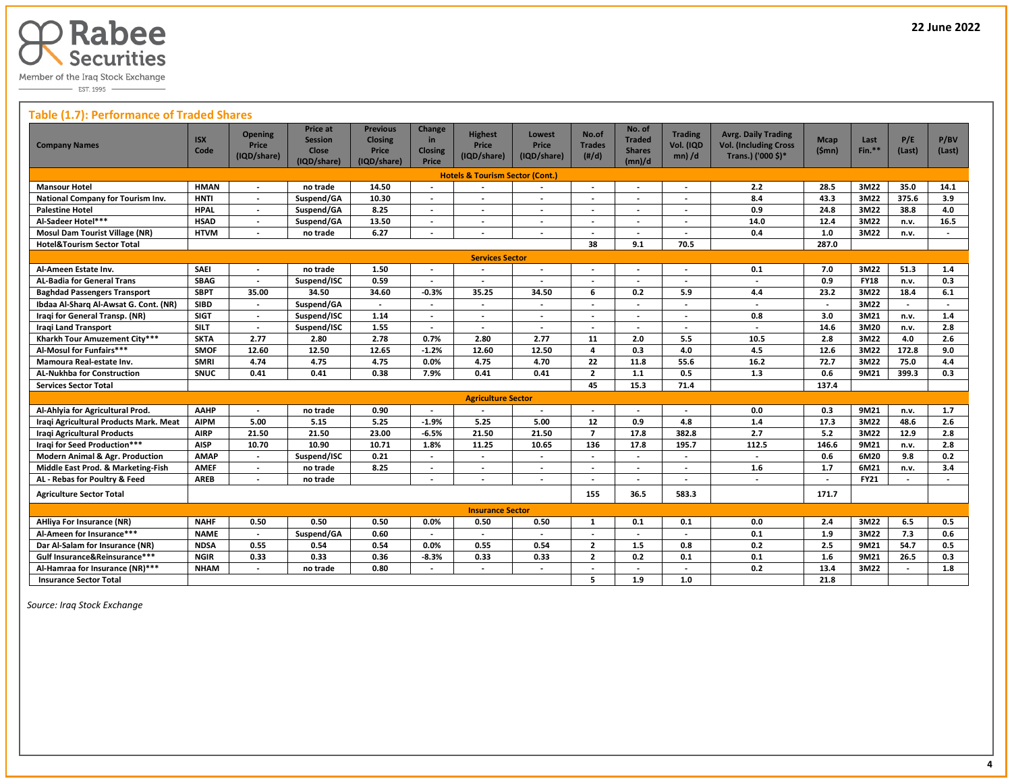

# **Table (1.7): Performance of Traded Shares**

| <b>Company Names</b>                       | <b>ISX</b><br>Code | <b>Opening</b><br><b>Price</b><br>(IQD/share) | <b>Price at</b><br><b>Session</b><br><b>Close</b><br>(IQD/share) | <b>Previous</b><br><b>Closing</b><br>Price<br>(IQD/share) | Change<br>in<br><b>Closing</b><br>Price | <b>Highest</b><br><b>Price</b><br>(IQD/share) | Lowest<br>Price<br>(IQD/share) | No.of<br><b>Trades</b><br>(H/d) | No. of<br><b>Traded</b><br><b>Shares</b><br>(mn)/d | <b>Trading</b><br>Vol. (IQD<br>$mn)$ /d | <b>Avrg. Daily Trading</b><br><b>Vol. (Including Cross</b><br>Trans.) ('000 \$)* | <b>Mcap</b><br>(\$mn)    | Last<br>$Fin.**$ | P/E<br>(Last)  | P/BV<br>(Last) |
|--------------------------------------------|--------------------|-----------------------------------------------|------------------------------------------------------------------|-----------------------------------------------------------|-----------------------------------------|-----------------------------------------------|--------------------------------|---------------------------------|----------------------------------------------------|-----------------------------------------|----------------------------------------------------------------------------------|--------------------------|------------------|----------------|----------------|
| <b>Hotels &amp; Tourism Sector (Cont.)</b> |                    |                                               |                                                                  |                                                           |                                         |                                               |                                |                                 |                                                    |                                         |                                                                                  |                          |                  |                |                |
| <b>Mansour Hotel</b>                       | <b>HMAN</b>        | $\overline{\phantom{a}}$                      | no trade                                                         | 14.50                                                     | $\overline{\phantom{a}}$                |                                               | $\overline{\phantom{a}}$       | $\overline{\phantom{a}}$        |                                                    | $\overline{\phantom{a}}$                | 2.2                                                                              | 28.5                     | 3M22             | 35.0           | 14.1           |
| National Company for Tourism Inv.          | <b>HNTI</b>        | $\overline{\phantom{a}}$                      | Suspend/GA                                                       | 10.30                                                     | $\blacksquare$                          | $\overline{\phantom{a}}$                      | $\blacksquare$                 | $\overline{\phantom{a}}$        |                                                    | $\overline{\phantom{a}}$                | 8.4                                                                              | 43.3                     | 3M22             | 375.6          | 3.9            |
| <b>Palestine Hotel</b>                     | <b>HPAL</b>        | $\overline{\phantom{a}}$                      | Suspend/GA                                                       | 8.25                                                      |                                         |                                               | $\overline{\phantom{a}}$       | $\overline{\phantom{a}}$        |                                                    |                                         | 0.9                                                                              | 24.8                     | 3M22             | 38.8           | 4.0            |
| Al-Sadeer Hotel***                         | <b>HSAD</b>        | $\overline{\phantom{a}}$                      | Suspend/GA                                                       | 13.50                                                     | $\overline{\phantom{a}}$                |                                               | $\overline{\phantom{a}}$       | $\overline{\phantom{a}}$        | $\overline{\phantom{a}}$                           |                                         | 14.0                                                                             | 12.4                     | 3M22             | n.v.           | 16.5           |
| <b>Mosul Dam Tourist Village (NR)</b>      | <b>HTVM</b>        |                                               | no trade                                                         | 6.27                                                      | $\blacksquare$                          | $\overline{\phantom{a}}$                      | $\overline{\phantom{a}}$       |                                 |                                                    |                                         | 0.4                                                                              | 1.0                      | 3M22             | n.v.           |                |
| <b>Hotel&amp;Tourism Sector Total</b>      |                    |                                               |                                                                  |                                                           |                                         |                                               |                                | 38                              | 9.1                                                | 70.5                                    |                                                                                  | 287.0                    |                  |                |                |
|                                            |                    |                                               |                                                                  |                                                           |                                         | <b>Services Sector</b>                        |                                |                                 |                                                    |                                         |                                                                                  |                          |                  |                |                |
| Al-Ameen Estate Inv.                       | SAEI               |                                               | no trade                                                         | 1.50                                                      |                                         |                                               | $\overline{\phantom{a}}$       |                                 |                                                    |                                         | 0.1                                                                              | 7.0                      | 3M22             | 51.3           | 1.4            |
| <b>AL-Badia for General Trans</b>          | <b>SBAG</b>        | $\overline{\phantom{a}}$                      | Suspend/ISC                                                      | 0.59                                                      | $\overline{\phantom{a}}$                | $\overline{a}$                                | $\blacksquare$                 | $\overline{\phantom{a}}$        | $\overline{\phantom{a}}$                           | $\overline{\phantom{a}}$                | $\overline{\phantom{a}}$                                                         | 0.9                      | <b>FY18</b>      | n.v.           | 0.3            |
| <b>Baghdad Passengers Transport</b>        | <b>SBPT</b>        | 35.00                                         | 34.50                                                            | 34.60                                                     | $-0.3%$                                 | 35.25                                         | 34.50                          | 6                               | 0.2                                                | 5.9                                     | 4.4                                                                              | 23.2                     | 3M22             | 18.4           | 6.1            |
| Ibdaa Al-Sharg Al-Awsat G. Cont. (NR)      | <b>SIBD</b>        | $\overline{\phantom{a}}$                      | Suspend/GA                                                       | $\overline{\phantom{a}}$                                  | $\blacksquare$                          | $\overline{\phantom{a}}$                      | $\blacksquare$                 |                                 |                                                    | $\overline{\phantom{a}}$                | $\overline{\phantom{a}}$                                                         | $\overline{\phantom{a}}$ | 3M22             |                |                |
| Iraqi for General Transp. (NR)             | <b>SIGT</b>        | $\overline{a}$                                | Suspend/ISC                                                      | 1.14                                                      |                                         |                                               | $\overline{a}$                 | $\overline{a}$                  |                                                    | $\overline{\phantom{a}}$                | 0.8                                                                              | 3.0                      | 3M21             | n.v.           | 1.4            |
| <b>Iragi Land Transport</b>                | <b>SILT</b>        | $\overline{\phantom{a}}$                      | Suspend/ISC                                                      | 1.55                                                      | $\overline{\phantom{a}}$                | $\overline{a}$                                | $\overline{\phantom{a}}$       | $\overline{\phantom{a}}$        | $\overline{\phantom{0}}$                           | $\overline{\phantom{a}}$                | $\overline{a}$                                                                   | 14.6                     | 3M20             | n.v.           | 2.8            |
| Kharkh Tour Amuzement City***              | <b>SKTA</b>        | 2.77                                          | 2.80                                                             | 2.78                                                      | 0.7%                                    | 2.80                                          | 2.77                           | 11                              | 2.0                                                | 5.5                                     | 10.5                                                                             | 2.8                      | 3M22             | 4.0            | 2.6            |
| Al-Mosul for Funfairs***                   | <b>SMOF</b>        | 12.60                                         | 12.50                                                            | 12.65                                                     | $-1.2%$                                 | 12.60                                         | 12.50                          | 4                               | 0.3                                                | 4.0                                     | 4.5                                                                              | 12.6                     | 3M22             | 172.8          | 9.0            |
| Mamoura Real-estate Inv.                   | <b>SMRI</b>        | 4.74                                          | 4.75                                                             | 4.75                                                      | 0.0%                                    | 4.75                                          | 4.70                           | 22                              | 11.8                                               | 55.6                                    | 16.2                                                                             | 72.7                     | 3M22             | 75.0           | 4.4            |
| <b>AL-Nukhba for Construction</b>          | <b>SNUC</b>        | 0.41                                          | 0.41                                                             | 0.38                                                      | 7.9%                                    | 0.41                                          | 0.41                           | $\overline{2}$                  | $1.1$                                              | 0.5                                     | 1.3                                                                              | 0.6                      | 9M21             | 399.3          | 0.3            |
| <b>Services Sector Total</b>               |                    |                                               |                                                                  |                                                           |                                         |                                               |                                | 45                              | 15.3                                               | 71.4                                    |                                                                                  | 137.4                    |                  |                |                |
|                                            |                    |                                               |                                                                  |                                                           |                                         | <b>Agriculture Sector</b>                     |                                |                                 |                                                    |                                         |                                                                                  |                          |                  |                |                |
| Al-Ahlyia for Agricultural Prod.           | AAHP               | $\overline{\phantom{a}}$                      | no trade                                                         | 0.90                                                      |                                         |                                               |                                | $\overline{\phantom{a}}$        |                                                    |                                         | 0.0                                                                              | 0.3                      | 9M21             | n.v.           | 1.7            |
| Iraqi Agricultural Products Mark. Meat     | <b>AIPM</b>        | 5.00                                          | 5.15                                                             | 5.25                                                      | $-1.9%$                                 | 5.25                                          | 5.00                           | 12                              | 0.9                                                | 4.8                                     | 1.4                                                                              | 17.3                     | 3M22             | 48.6           | 2.6            |
| <b>Iragi Agricultural Products</b>         | <b>AIRP</b>        | 21.50                                         | 21.50                                                            | 23.00                                                     | $-6.5%$                                 | 21.50                                         | 21.50                          | $\overline{7}$                  | 17.8                                               | 382.8                                   | 2.7                                                                              | 5.2                      | 3M22             | 12.9           | 2.8            |
| <b>Iragi for Seed Production***</b>        | <b>AISP</b>        | 10.70                                         | 10.90                                                            | 10.71                                                     | 1.8%                                    | 11.25                                         | 10.65                          | 136                             | 17.8                                               | 195.7                                   | 112.5                                                                            | 146.6                    | 9M21             | n.v.           | 2.8            |
| <b>Modern Animal &amp; Agr. Production</b> | <b>AMAP</b>        | $\overline{a}$                                | Suspend/ISC                                                      | 0.21                                                      | $\overline{a}$                          | $\overline{a}$                                | $\overline{a}$                 | $\overline{\phantom{a}}$        | $\overline{\phantom{a}}$                           | $\overline{\phantom{a}}$                | $\overline{\phantom{a}}$                                                         | 0.6                      | 6M20             | 9.8            | 0.2            |
| Middle East Prod. & Marketing-Fish         | <b>AMEF</b>        | $\blacksquare$                                | no trade                                                         | 8.25                                                      | $\overline{\phantom{a}}$                | $\overline{\phantom{a}}$                      | $\overline{\phantom{a}}$       | $\overline{\phantom{a}}$        | $\overline{\phantom{a}}$                           | $\overline{\phantom{a}}$                | 1.6                                                                              | 1.7                      | 6M21             | n.v.           | 3.4            |
| AL - Rebas for Poultry & Feed              | <b>AREB</b>        |                                               | no trade                                                         |                                                           | $\overline{\phantom{a}}$                |                                               | $\overline{\phantom{a}}$       |                                 |                                                    | $\overline{\phantom{a}}$                | $\overline{\phantom{a}}$                                                         | $\overline{\phantom{a}}$ | <b>FY21</b>      |                |                |
| <b>Agriculture Sector Total</b>            |                    |                                               |                                                                  |                                                           |                                         |                                               |                                | 155                             | 36.5                                               | 583.3                                   |                                                                                  | 171.7                    |                  |                |                |
|                                            |                    |                                               |                                                                  |                                                           |                                         | <b>Insurance Sector</b>                       |                                |                                 |                                                    |                                         |                                                                                  |                          |                  |                |                |
| <b>AHliya For Insurance (NR)</b>           | <b>NAHF</b>        | 0.50                                          | 0.50                                                             | 0.50                                                      | 0.0%                                    | 0.50                                          | 0.50                           | 1                               | 0.1                                                | 0.1                                     | 0.0                                                                              | 2.4                      | 3M22             | 6.5            | 0.5            |
| Al-Ameen for Insurance***                  | <b>NAME</b>        | $\overline{\phantom{a}}$                      | Suspend/GA                                                       | 0.60                                                      | $\overline{\phantom{a}}$                | $\overline{\phantom{a}}$                      |                                | $\overline{\phantom{a}}$        |                                                    |                                         | 0.1                                                                              | 1.9                      | 3M22             | 7.3            | 0.6            |
| Dar Al-Salam for Insurance (NR)            | <b>NDSA</b>        | 0.55                                          | 0.54                                                             | 0.54                                                      | 0.0%                                    | 0.55                                          | 0.54                           | $\overline{2}$                  | 1.5                                                | 0.8                                     | 0.2                                                                              | 2.5                      | 9M21             | 54.7           | 0.5            |
| Gulf Insurance&Reinsurance***              | <b>NGIR</b>        | 0.33                                          | 0.33                                                             | 0.36                                                      | $-8.3%$                                 | 0.33                                          | 0.33                           | $\overline{2}$                  | 0.2                                                | 0.1                                     | 0.1                                                                              | 1.6                      | 9M21             | 26.5           | 0.3            |
| Al-Hamraa for Insurance (NR)***            | <b>NHAM</b>        | $\overline{\phantom{a}}$                      | no trade                                                         | 0.80                                                      | $\overline{\phantom{a}}$                | $\overline{\phantom{a}}$                      | $\overline{\phantom{a}}$       | $\overline{\phantom{a}}$        | $\overline{\phantom{a}}$                           | $\overline{\phantom{a}}$                | 0.2                                                                              | 13.4                     | 3M22             | $\blacksquare$ | 1.8            |
| <b>Insurance Sector Total</b>              |                    |                                               |                                                                  |                                                           |                                         |                                               |                                | 5                               | 1.9                                                | 1.0                                     |                                                                                  | 21.8                     |                  |                |                |

 *Source: Iraq Stock Exchange*

L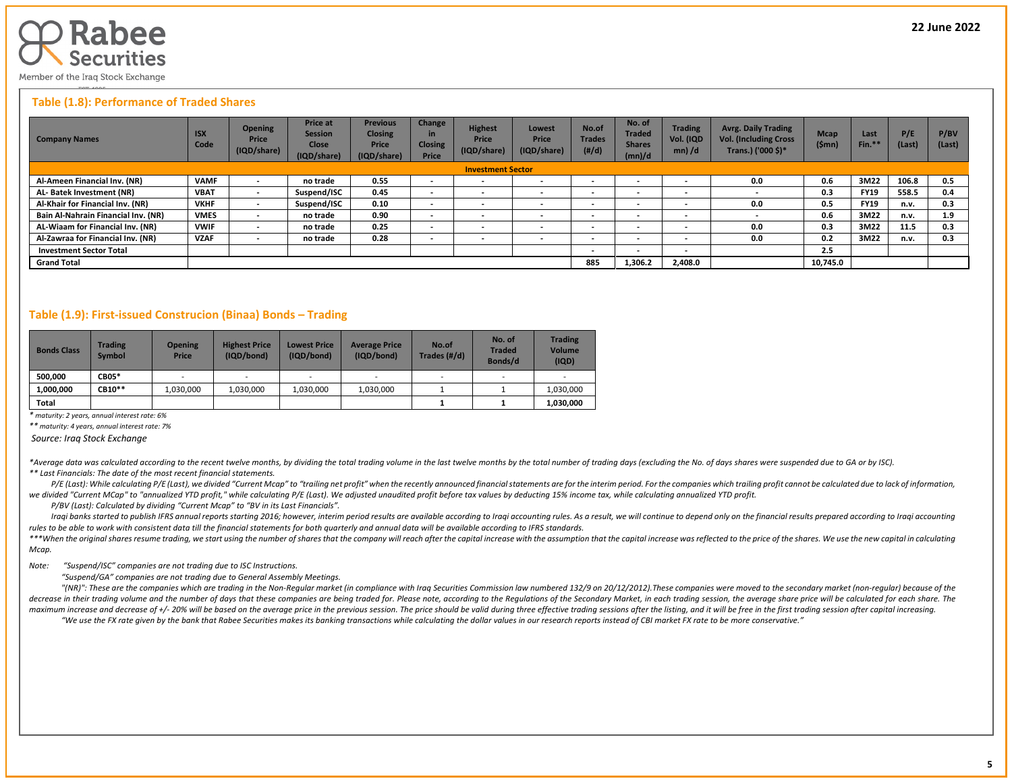

Member of the Iraq Stock Exchange

#### **Table (1.8): Performance of Traded Shares**

| <b>Company Names</b>                | <b>ISX</b><br>Code | <b>Opening</b><br>Price<br>(IQD/share) | <b>Price at</b><br><b>Session</b><br><b>Close</b><br>(IQD/share) | <b>Previous</b><br><b>Closing</b><br>Price<br>(IQD/share) | Change<br>in<br><b>Closing</b><br>Price | Highest<br>Price<br>(IQD/share) | Lowest<br>Price<br>(IQD/share) | No.of<br><b>Trades</b><br>$(\#/d)$ | No. of<br><b>Traded</b><br><b>Shares</b><br>(mn)/d | <b>Trading</b><br>Vol. (IQD<br>$mn)$ /d | <b>Avrg. Daily Trading</b><br><b>Vol. (Including Cross</b><br>Trans.) ('000 \$)* | <b>Mcap</b><br>(Smn) | Last<br>Fin.* | P/E<br>(Last) | P/BV<br>(Last) |
|-------------------------------------|--------------------|----------------------------------------|------------------------------------------------------------------|-----------------------------------------------------------|-----------------------------------------|---------------------------------|--------------------------------|------------------------------------|----------------------------------------------------|-----------------------------------------|----------------------------------------------------------------------------------|----------------------|---------------|---------------|----------------|
|                                     |                    |                                        |                                                                  |                                                           |                                         | <b>Investment Sector</b>        |                                |                                    |                                                    |                                         |                                                                                  |                      |               |               |                |
| Al-Ameen Financial Inv. (NR)        | <b>VAMF</b>        |                                        | no trade                                                         | 0.55                                                      | $\overline{\phantom{a}}$                | $\overline{\phantom{a}}$        | . .                            | $\cdot$                            |                                                    | $\overline{\phantom{a}}$                | 0.0                                                                              | 0.6                  | 3M22          | 106.8         | 0.5            |
| AL- Batek Investment (NR)           | <b>VBAT</b>        |                                        | Suspend/ISC                                                      | 0.45                                                      | $\overline{\phantom{a}}$                | $\overline{\phantom{a}}$        | $\overline{\phantom{a}}$       |                                    |                                                    | $\overline{\phantom{a}}$                |                                                                                  | 0.3                  | <b>FY19</b>   | 558.5         | 0.4            |
| Al-Khair for Financial Inv. (NR)    | <b>VKHF</b>        | $\overline{\phantom{a}}$               | Suspend/ISC                                                      | 0.10                                                      | $\overline{\phantom{a}}$                | $\overline{\phantom{a}}$        | . .                            | $\cdot$                            | $\overline{\phantom{a}}$                           | $\overline{\phantom{0}}$                | 0.0                                                                              | 0.5                  | <b>FY19</b>   | n.v.          | 0.3            |
| Bain Al-Nahrain Financial Inv. (NR) | <b>VMES</b>        |                                        | no trade                                                         | 0.90                                                      | $\sim$                                  | $\overline{\phantom{a}}$        | $\overline{\phantom{a}}$       | -                                  | $\overline{\phantom{a}}$                           | $\overline{\phantom{0}}$                |                                                                                  | 0.6                  | 3M22          | n.v.          | 1.9            |
| AL-Wiaam for Financial Inv. (NR)    | <b>VWIF</b>        | $\overline{\phantom{0}}$               | no trade                                                         | 0.25                                                      | $\overline{\phantom{a}}$                | $\overline{\phantom{a}}$        | . .                            | $\cdot$                            | $\overline{\phantom{a}}$                           | $\overline{\phantom{0}}$                | 0.0                                                                              | 0.3                  | 3M22          | 11.5          | 0.3            |
| Al-Zawraa for Financial Inv. (NR)   | <b>VZAF</b>        | $\overline{\phantom{0}}$               | no trade                                                         | 0.28                                                      | $\overline{\phantom{0}}$                | $\overline{\phantom{a}}$        | $\overline{\phantom{a}}$       |                                    |                                                    | $\overline{\phantom{a}}$                | 0.0                                                                              | 0.2                  | 3M22          | n.v.          | 0.3            |
| <b>Investment Sector Total</b>      |                    |                                        |                                                                  |                                                           |                                         |                                 |                                | $\cdot$                            | $\overline{\phantom{a}}$                           | $\overline{\phantom{0}}$                |                                                                                  | 2.5                  |               |               |                |
| <b>Grand Total</b>                  |                    |                                        |                                                                  |                                                           |                                         |                                 |                                | 885                                | 1,306.2                                            | 2.408.0                                 |                                                                                  | 10,745.0             |               |               |                |

#### **Table (1.9): First-issued Construcion (Binaa) Bonds – Trading**

| <b>Bonds Class</b> | Trading<br><b>Symbol</b> | <b>Opening</b><br>Price | <b>Highest Price</b><br>(IQD/bond) | <b>Lowest Price</b><br>(IQD/bond) | <b>Average Price</b><br>(IQD/bond) | No.of<br>Trades (#/d) | No. of<br><b>Traded</b><br>Bonds/d | <b>Trading</b><br><b>Volume</b><br>(IQD) |
|--------------------|--------------------------|-------------------------|------------------------------------|-----------------------------------|------------------------------------|-----------------------|------------------------------------|------------------------------------------|
| 500.000            | <b>CB05*</b>             | -                       | $\overline{\phantom{0}}$           | $\sim$                            |                                    | -                     | $\overline{\phantom{0}}$           |                                          |
| 1.000.000          | CB10**                   | 1.030.000               | 1.030.000                          | 1,030,000                         | 1,030,000                          |                       |                                    | 1,030,000                                |
| Total              |                          |                         |                                    |                                   |                                    |                       |                                    | 1,030,000                                |

*\* maturity: 2 years, annual interest rate: 6%*

*\*\* maturity: 4 years, annual interest rate: 7%*

*Source: Iraq Stock Exchange*

\*Average data was calculated according to the recent twelve months, by dividing the total trading volume in the last twelve months by the total number of trading days (excluding the No. of days shares were suspended due to *\*\* Last Financials: The date of the most recent financial statements.* 

P/E (Last): While calculating P/E (Last), we divided "Current Mcap" to "trailing net profit" when the recently announced financial statements are for the interim period. For the companies which trailing profit cannot be ca we divided "Current MCap" to "annualized YTD profit," while calculating P/E (Last). We adjusted unaudited profit before tax values by deducting 15% income tax, while calculating annualized YTD profit.

 *P/BV (Last): Calculated by dividing "Current Mcap" to "BV in its Last Financials".*

Iraqi banks started to publish IFRS annual reports starting 2016; however, interim period results are available according to Iraqi accounting rules. As a result, we will continue to depend only on the financial results pre *rules to be able to work with consistent data till the financial statements for both quarterly and annual data will be available according to IFRS standards.* 

\*\*\*When the original shares resume trading, we start using the number of shares that the company will reach after the capital increase with the assumption that the capital increase was reflected to the price of the shares. *Mcap.*

*Note: "Suspend/ISC" companies are not trading due to ISC Instructions.*

 *"Suspend/GA" companies are not trading due to General Assembly Meetings.*

"(NR)": These are the companies which are trading in the Non-Regular market (in compliance with Iraq Securities Commission law numbered 132/9 on 20/12/2012). These companies were moved to the secondary market (non-regular) decrease in their trading volume and the number of days that these companies are being traded for. Please note, according to the Regulations of the Secondary Market, in each trading session, the average share price will be maximum increase and decrease of +/- 20% will be based on the average price in the previous session. The price should be valid during three effective trading sessions after the listing, and it will be free in the first tra "We use the FX rate given by the bank that Rabee Securities makes its banking transactions while calculating the dollar values in our research reports instead of CBI market FX rate to be more conservative."